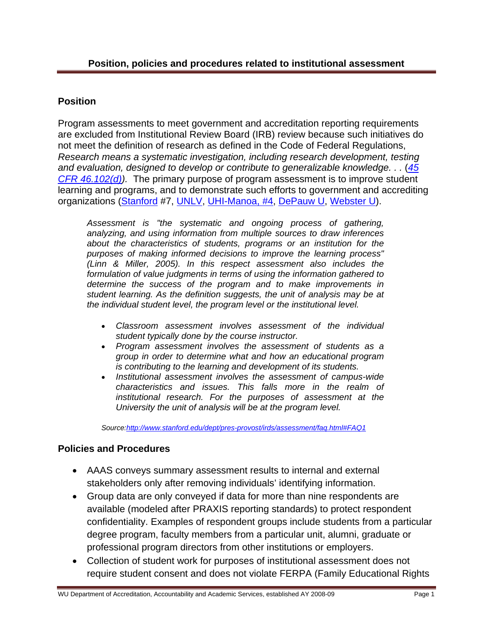## **Position**

Program assessments to meet government and accreditation reporting requirements are excluded from Institutional Review Board (IRB) review because such initiatives do not meet the definition of research as defined in the Code of Federal Regulations, *Research means a systematic investigation, including research development, testing*  [and evaluation, designed to develop or contribute to generalizable knowledge. . .](http://frwebgate.access.gpo.gov/cgi-bin/get-cfr.cgi?TITLE=45&PART=46&SECTION=102&YEAR=2000&TYPE=TEXT) (45 *CFR 46.102(d)).* The primary purpose of program assessment is to improve student learning and programs, and to demonstrate such efforts to government and accrediting organizations ([Stanford](http://www.stanford.edu/dept/pres-provost/irds/assessment/faq.html#FAQ7) #7, [UNLV](http://provost.unlv.edu/Assessment/irb_research.html), [UHI-Manoa, #4,](http://manoa.hawaii.edu/assessment/faqs.htm) [DePauw U,](http://www.depauw.edu/admin/acadaffairs/researchProtocols/irb/index.asp) [Webster U\).](http://www.webster.edu/irb/instit.html)

*Assessment is "the systematic and ongoing process of gathering, analyzing, and using information from multiple sources to draw inferences about the characteristics of students, programs or an institution for the purposes of making informed decisions to improve the learning process" (Linn & Miller, 2005). In this respect assessment also includes the formulation of value judgments in terms of using the information gathered to determine the success of the program and to make improvements in student learning. As the definition suggests, the unit of analysis may be at the individual student level, the program level or the institutional level.* 

- *Classroom assessment involves assessment of the individual student typically done by the course instructor.*
- *Program assessment involves the assessment of students as a group in order to determine what and how an educational program is contributing to the learning and development of its students.*
- *Institutional assessment involves the assessment of campus-wide characteristics and issues. This falls more in the realm of institutional research. For the purposes of assessment at the University the unit of analysis will be at the program level.*

*Source:http://www.stanford.edu/dept/pres-provost/irds/assessment/faq.html#FAQ1* 

## **Policies and Procedures**

- AAAS conveys summary assessment results to internal and external stakeholders only after removing individuals' identifying information.
- Group data are only conveyed if data for more than nine respondents are available (modeled after PRAXIS reporting standards) to protect respondent confidentiality. Examples of respondent groups include students from a particular degree program, faculty members from a particular unit, alumni, graduate or professional program directors from other institutions or employers.
- Collection of student work for purposes of institutional assessment does not require student consent and does not violate FERPA (Family Educational Rights